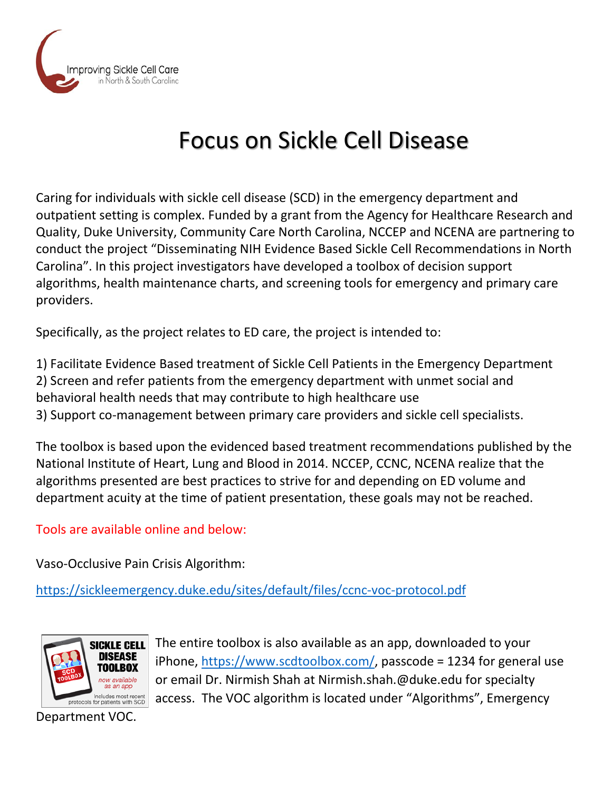

# Focus on Sickle Cell Disease

Caring for individuals with sickle cell disease (SCD) in the emergency department and outpatient setting is complex. Funded by a grant from the Agency for Healthcare Research and Quality, Duke University, Community Care North Carolina, NCCEP and NCENA are partnering to conduct the project "Disseminating NIH Evidence Based Sickle Cell Recommendations in North Carolina". In this project investigators have developed a toolbox of decision support algorithms, health maintenance charts, and screening tools for emergency and primary care providers.

Specifically, as the project relates to ED care, the project is intended to:

1) Facilitate Evidence Based treatment of Sickle Cell Patients in the Emergency Department 2) Screen and refer patients from the emergency department with unmet social and behavioral health needs that may contribute to high healthcare use 3) Support co-management between primary care providers and sickle cell specialists.

The toolbox is based upon the evidenced based treatment recommendations published by the National Institute of Heart, Lung and Blood in 2014. NCCEP, CCNC, NCENA realize that the algorithms presented are best practices to strive for and depending on ED volume and department acuity at the time of patient presentation, these goals may not be reached.

Tools are available online and below:

Vaso-Occlusive Pain Crisis Algorithm:

<https://sickleemergency.duke.edu/sites/default/files/ccnc-voc-protocol.pdf>



The entire toolbox is also available as an app, downloaded to your iPhone, [https://www.scdtoolbox.com/,](https://www.scdtoolbox.com/) passcode = 1234 for general use or email Dr. Nirmish Shah at Nirmish.shah.@duke.edu for specialty access. The VOC algorithm is located under "Algorithms", Emergency

Department VOC.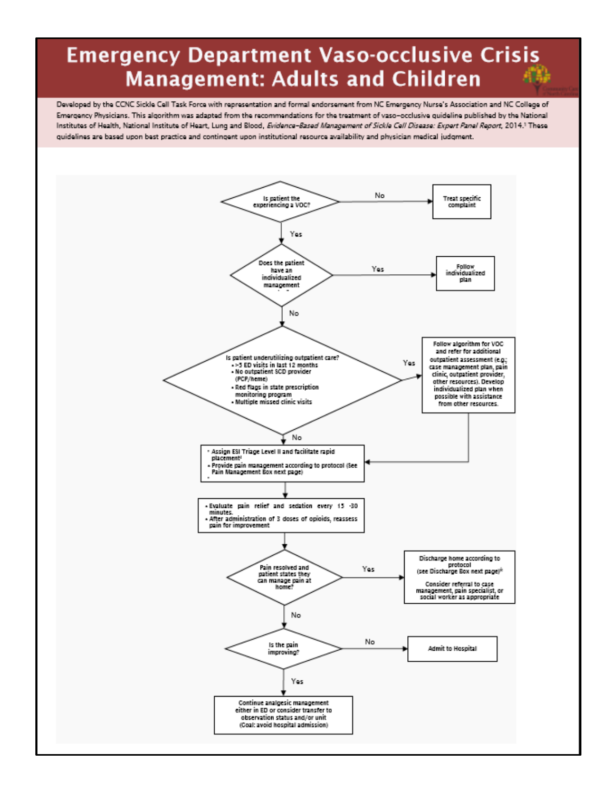## **Emergency Department Vaso-occlusive Crisis Management: Adults and Children**

Developed by the CCNC Sickle Cell Task Force with representation and formal endorsement from NC Emergency Nurse's Association and NC College of Emergency Physicians. This algorithm was adapted from the recommendations for the treatment of vaso-occlusive quideline published by the National Institutes of Health, National Institute of Heart, Lung and Blood, Evidence-Based Management of Sickle Cell Disease: Expert Panel Report, 2014.1 These quidelines are based upon best practice and contingent upon institutional resource availability and physician medical judgment.

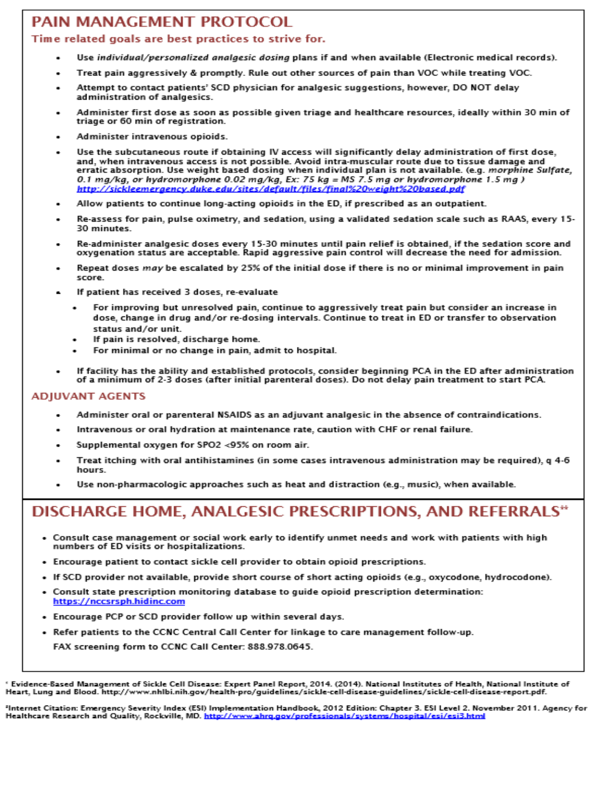### PAIN MANAGEMENT PROTOCOL

#### Time related goals are best practices to strive for.

- Use individual/personalized analaesic dosina plans if and when available (Electronic medical records).
- Treat pain aggressively & promptly. Rule out other sources of pain than VOC while treating VOC.
- Attempt to contact patients' SCD physician for analgesic suggestions, however, DO NOT delay administration of analgesics.
- Administer first dose as soon as possible given triage and healthcare resources, ideally within 30 min of triage or 60 min of registration.
- Administer intravenous opioids.
- Use the subcutaneous route if obtaining IV access will significantly delay administration of first dose, and, when intravenous access is not possible. Avoid intra-muscular route due to tissue damage and erratic absorption. Use weight based dosing when individual plan is not available. (e.g. morphine Sulfate, 0.1 mg/kg, or hydromorphone 0.02 mg/kg, Ex: 75 kg = MS 7.5 mg or hydromorphone 1.5 mg ) http://sickleemergency.duke.edu/sites/default/files/final%20weiaht%20based.pdf
- Allow patients to continue long-acting opioids in the ED, if prescribed as an outpatient.
- Re-assess for pain, pulse oximetry, and sedation, using a validated sedation scale such as RAAS, every 15-30 minutes
- Re-administer analgesic doses every 15-30 minutes until pain relief is obtained, if the sedation score and oxygenation status are acceptable. Rapid aggressive pain control will decrease the need for admission.
- Repeat doses may be escalated by 25% of the initial dose if there is no or minimal improvement in pain **SCOFA**
- If patient has received 3 doses, re-evaluate
	- For improving but unresolved pain, continue to aggressively treat pain but consider an increase in dose, change in drug and/or re-dosing intervals. Continue to treat in ED or transfer to observation status and/or unit.
	- If pain is resolved, discharge home.
	- For minimal or no change in pain, admit to hospital.
- If facility has the ability and established protocols, consider beginning PCA in the ED after administration of a minimum of 2-3 doses (after initial parenteral doses). Do not delay pain treatment to start PCA.

#### **ADJUVANT AGENTS**

- Administer oral or parenteral NSAIDS as an adjuvant analgesic in the absence of contraindications.
- Intravenous or oral hydration at maintenance rate, caution with CHF or renal failure.
- Supplemental oxygen for SPO2 <95% on room air.
- Treat itching with oral antihistamines (in some cases intravenous administration may be required), q 4-6 hours.
- Use non-pharmacologic approaches such as heat and distraction (e.g., music), when available.

## DISCHARGE HOME, ANALGESIC PRESCRIPTIONS, AND REFERRALS\*

- Consult case management or social work early to identify unmet needs and work with patients with high numbers of ED visits or hospitalizations.
- . Encourage patient to contact sickle cell provider to obtain opioid prescriptions.
- · If SCD provider not available, provide short course of short acting opioids (e.g., oxycodone, hydrocodone).
- . Consult state prescription monitoring database to guide opioid prescription determination: https://nccsrsph.hidinc.com
- . Encourage PCP or SCD provider follow up within several days.
- Refer patients to the CCNC Central Call Center for linkage to care management follow-up. FAX screening form to CCNC Call Center: 888.978.0645.

Evidence-Based Management of Sickle Cell Disease: Expert Panel Report, 2014. (2014). National Institutes of Health, National Institute of Heart, Lung and Blood. http://www.nhlbi.nih.gov/health-pro/guidelines/sickle-cell-disease-guidelines/sickle-cell-disease-report.pdf.

"Internet Citation: Emergency Severity Index (ESI) Implementation Handbook, 2012 Edition: Chapter 3. ESI Level 2. November 2011. Agency for Healthcare Research and Quality, Rockville, MD. http://www.ahrg.gov/profes <u>sionals/systems/hospital/esi/esi3.html</u>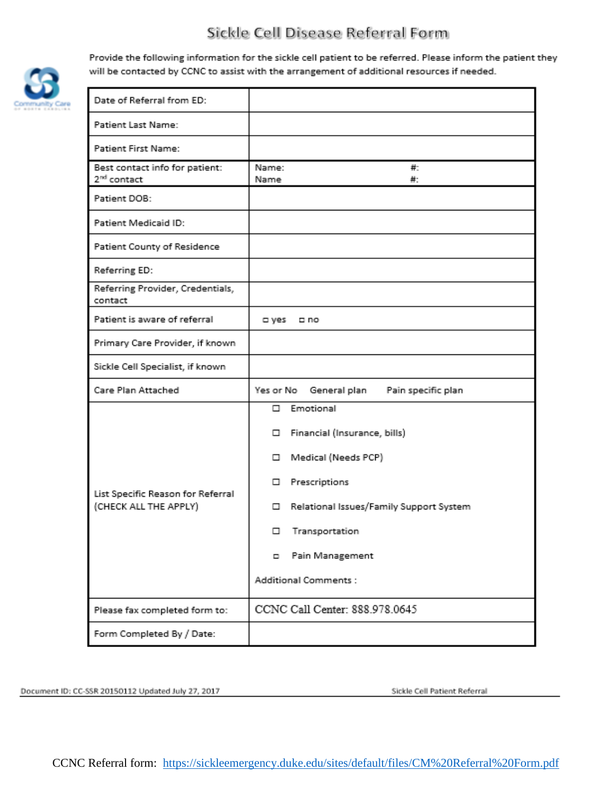## Sickle Cell Disease Referral Form



Provide the following information for the sickle cell patient to be referred. Please inform the patient they will be contacted by CCNC to assist with the arrangement of additional resources if needed.

| Date of Referral from ED:                                  |                                                                                                                                                                                                                            |
|------------------------------------------------------------|----------------------------------------------------------------------------------------------------------------------------------------------------------------------------------------------------------------------------|
| Patient Last Name:                                         |                                                                                                                                                                                                                            |
| <b>Patient First Name:</b>                                 |                                                                                                                                                                                                                            |
| Best contact info for patient:<br>2 <sup>nd</sup> contact  | Name:<br>₩.<br>Name<br>#∶                                                                                                                                                                                                  |
| Patient DOB:                                               |                                                                                                                                                                                                                            |
| Patient Medicaid ID:                                       |                                                                                                                                                                                                                            |
| Patient County of Residence                                |                                                                                                                                                                                                                            |
| Referring ED:                                              |                                                                                                                                                                                                                            |
| Referring Provider, Credentials,<br>contact                |                                                                                                                                                                                                                            |
| Patient is aware of referral                               | ⊏ yes<br>□ no                                                                                                                                                                                                              |
| Primary Care Provider, if known                            |                                                                                                                                                                                                                            |
| Sickle Cell Specialist, if known                           |                                                                                                                                                                                                                            |
| Care Plan Attached                                         | Yes or No<br>General plan<br>Pain specific plan                                                                                                                                                                            |
| List Specific Reason for Referral<br>(CHECK ALL THE APPLY) | Emotional<br>п.<br>Financial (Insurance, bills)<br>□<br>Medical (Needs PCP)<br>□<br>Prescriptions<br>□<br>Relational Issues/Family Support System<br>□<br>□ Transportation<br>Pain Management<br>۰<br>Additional Comments: |
| Please fax completed form to:                              | CCNC Call Center: 888.978.0645                                                                                                                                                                                             |
| Form Completed By / Date:                                  |                                                                                                                                                                                                                            |

Document ID: CC-SSR 20150112 Updated July 27, 2017

Sickle Cell Patient Referral